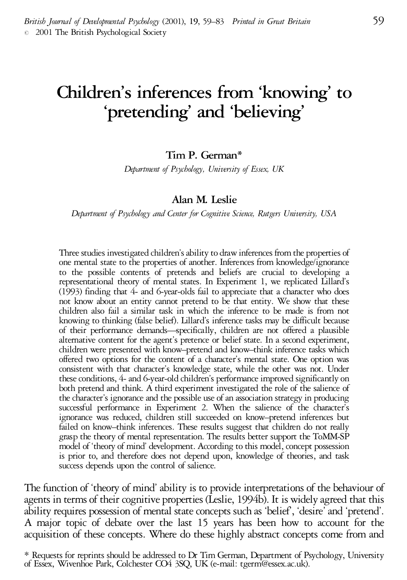# **Children's inferences from 'knowing' to 'pretending' and 'believing'**

**Tim P. German\***

*Department of Psychology, University of Essex, UK*

#### **Alan M. Leslie**

*Department of Psychology and Center for Cognitive Science, Rutgers University, USA*

Three studies investigated children's ability to draw inferences from the properties of one mental state to the properties of another. Inferences from knowledge/ignorance to the possible contents of pretends and beliefs are crucial to developing a representational theory of mental states. In Experiment 1, we replicated Lillard's (1993) finding that 4- and 6-year-olds fail to appreciate that <sup>a</sup> character who does not know about an entity cannot pretend to be that entity. We show that these children also fail a similar task in which the inference to be made is from not knowing to thinking (false belief). Lillard's inference tasks may be difficult because of their performance demands—specifically, children are not offered <sup>a</sup> plausible alternative content for the agent's pretence or belief state. In a second experiment, children were presented with know–pretend and know–think inference tasks which offered two options for the content of <sup>a</sup> character's mental state. One option was consistent with that character's knowledge state, while the other was not. Under these conditions, 4- and 6-year-old children's performance improved significantly on both pretend and think. A third experiment investigated the role of the salience of thecharacter's ignorance and the possible use of an association strategy in producing successful performance in Experiment 2. When the salience of the character's ignorance was reduced, children still succeeded on know–pretend inferences but failed on know–think inferences. These results suggest that children do not really grasp the theory of mental representation. The results better support the ToMM-SP model of 'theory of mind' development. According to this model, concept possession is prior to, and therefore does not depend upon, knowledge of theories, and task success depends upon the control of salience.

The function of 'theory of mind' ability is to provide interpretations of the behaviour of agents in terms of their cognitive properties (Leslie, 1994b). It is widely agreed that this ability requires possession of mental state concepts such as 'belief', 'desire' and 'pretend'. A major topic of debate over the last 15 years has been how to account for the acquisition of these concepts. Where do these highly abstract concepts come from and

<sup>\*</sup> Requests for reprints should be addressed to Dr Tim German, Department of Psychology, University of Essex, Wivenhoe Park, Colchester CO4 3SQ, UK (e-mail: tgerm@essex.ac.uk).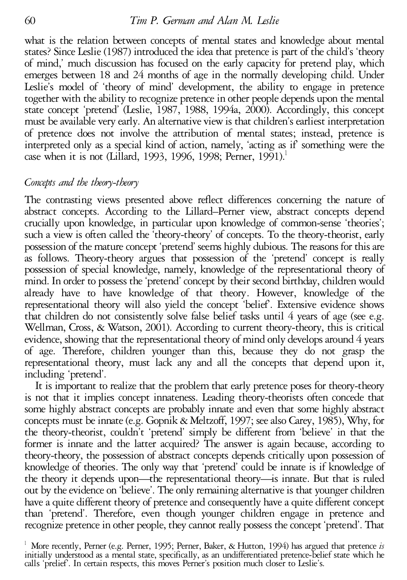what is the relation between concepts of mental states and knowledge about mental states? Since Leslie (1987) introduced the idea that pretence is part of the child's 'theory of mind,' much discussion has focused on the early capacity for pretend play, which emerges between 18 and 24 months of age in the normally developing child. Under Leslie's model of 'theory of mind' development, the ability to engage in pretence together with the ability to recognize pretence in other people depends upon the mental state concept 'pretend' (Leslie, 1987, 1988, 1994a, 2000). Accordingly, this concept must be available very early. An alternative view is that children's earliest interpretation of pretence does not involve the attribution of mental states; instead, pretence is interpreted only as a special kind of action, namely, 'acting as if' something were the case when it is not (Lillard, 1993, 1996, 1998; Perner, 1991).<sup>1</sup>

# *Concepts and the theory-theory*

The contrasting views presented above reflect differences concerning the nature of abstract concepts. According to the Lillard–Perner view, abstract concepts depend crucially upon knowledge, in particular upon knowledge of common-sense 'theories'; such a view is often called the 'theory-theory' of concepts. To the theory-theorist, early possession of the mature concept 'pretend' seems highly dubious. The reasons for this are as follows. Theory-theory argues that possession of the 'pretend' concept is really possession of special knowledge, namely, knowledge of the representational theory of mind. In order to possess the'pretend'concept by their second birthday, childrenwould already have to have knowledge of that theory. However, knowledge of the representational theory will also yield the concept 'belief'. Extensive evidence shows that children do not consistently solve false belief tasks until <sup>4</sup> years of age (see e.g. Wellman, Cross, & Watson, 2001). According to current theory-theory, this is critical evidence, showing that the representational theory of mind only develops around 4 years of age. Therefore, children younger than this, because they do not grasp the representational theory, must lack any and all the concepts that depend upon it, including 'pretend'. It is important to realize that the problem that early pretence poses for theory-theory

is not that it implies concept innateness. Leading theory-theorists often concede that some highly abstract concepts are probably innate and even that some highly abstract concepts must be innate (e.g. Gopnik & Meltzoff, 1997; see also Carey, 1985), Why, for the theory-theorist, couldn't 'pretend' simply be different from 'believe' in that the former is innate and the latter acquired? The answer is again because, according to theory-theory, the possession of abstract concepts depends critically upon possession of knowledge of theories. The only way that 'pretend' could be innate is if knowledge of the theory it depends upon—the representational theory—is innate. But that is ruled out by the evidence on 'believe'. The only remaining alternative is that younger children have a quite different theory of pretence and consequently have a quite different concept than 'pretend'. Therefore, even though younger children engage in pretence and recognize pretence in other people, they cannot really possess the concept 'pretend'. That

<sup>1</sup> More recently, Perner (e.g. Perner, 1995; Perner, Baker, & Hutton, 1994) has argued that pretence *is* initially understood as a mental state, specifically, as an undifferentiated pretence-belief state which he calls 'prelief'. In certain respects, this moves Perner's position much closer to Leslie's.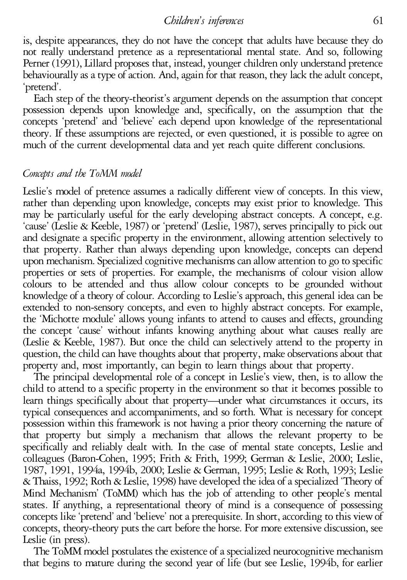is, despite appearances, they do not have the concept that adults have because they do not really understand pretence as a representational mental state. And so, following Perner (1991), Lillard proposes that, instead, younger children only understand pretence behaviourally as a type of action. And, again for that reason, they lack the adult concept,

'pretend'. Each step of the theory-theorist's argument depends on the assumption that concept possession depends upon knowledge and, specifically, on the assumption that the concepts 'pretend' and 'believe' each depend upon knowledge of the representational theory. If these assumptions are rejected, or even questioned, it is possible to agree on much of the current developmental data and yet reach quite different conclusions.

# *Concepts and the ToMM model*

Leslie's model of pretence assumes <sup>a</sup> radically different view of concepts. In this view, rather than depending upon knowledge, concepts may exist prior to knowledge. This may be particularly useful for the early developing abstract concepts. A concept, e.g. 'cause' (Leslie & Keeble, 1987) or 'pretend' (Leslie, 1987), serves principally to pick out and designate a specific property in the environment, allowing attention selectively to that property. Rather than always depending upon knowledge, concepts can depend upon mechanism. Specialized cognitive mechanismscan allowattention to go to specific properties or sets of properties. For example, the mechanisms of colour vision allow colours to be attended and thus allow colour concepts to be grounded without knowledge of atheory of colour. According to Leslie's approach, this general idea can be extended to non-sensory concepts, and even to highly abstract concepts. For example, the 'Michotte module' allows young infants to attend to causes and effects, grounding the concept 'cause' without infants knowing anything about what causes really are (Leslie & Keeble, 1987). But once the child can selectively attend to the property in question, the child can have thoughts about that property, make observations about that property and, most importantly, can begin to learn things about that property.

The principal developmental role of a concept in Leslie's view, then, is to allow the child to attend to a specific property in the environment so that it becomes possible to learn things specifically about that property—under what circumstances it occurs, its typical consequences and accompaniments, and so forth. What is necessary for concept possession within this framework is not having a prior theory concerning the nature of that property but simply a mechanism that allows the relevant property to be specifically and reliably dealt with. In the case of mental state concepts, Leslie and colleagues (Baron-Cohen, 1995; Frith & Frith, 1999; German & Leslie, 2000; Leslie, 1987, 1991, 1994a, 1994b, 2000; Leslie & German, 1995; Leslie & Roth, 1993; Leslie &Thaiss, 1992; Roth&Leslie, 1998) have developed theidea of aspecialized 'Theory of Mind Mechanism' (ToMM) which has the job of attending to other people's mental states. If anything, a representational theory of mind is a consequence of possessing concepts like 'pretend' and 'believe' not a prerequisite. In short, according to this view of concepts, theory-theory puts the cart before the horse. For more extensive discussion, see Leslie (in press).

The ToMM model postulates the existence of a specialized neurocognitive mechanism that begins to mature during the second year of life (but see Leslie, 1994b, for earlier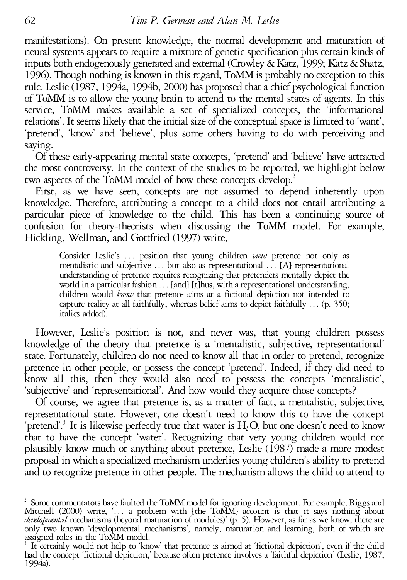manifestations). On present knowledge, the normal development and maturation of neural systems appears to require a mixture of genetic specification plus certain kinds of inputs both endogenously generated and external (Crowley & Katz, 1999; Katz & Shatz, 1996). Though nothing is known in this regard, ToMM is probably no exception to this rule. Leslie (1987, 1994a, 1994b, 2000) has proposed that a chief psychological function of ToMM is to allow the young brain to attend to the mental states of agents. In this service, ToMM makes available a set of specialized concepts, the 'informational relations'. It seems likely that the initial size of the conceptual space is limited to 'want', 'pretend', 'know' and 'believe', plus some others having to do with perceiving and

saying. Of these early-appearing mental state concepts, 'pretend' and 'believe' have attracted the most controversy. In the context of the studies to be reported, we highlight below two aspects of the ToMM model of how these concepts develop.<sup>2</sup>

First, as we have seen, concepts are not assumed to depend inherently upon knowledge. Therefore, attributing a concept to a child does not entail attributing a particular piece of knowledge to the child. This has been a continuing source of confusion for theory-theorists when discussing the ToMM model. For example, Hickling, Wellman, and Gottfried (1997) write,

Consider Leslie's ... position that young children *view* pretence not only as<br>mentalistic and subjective ... but also as representational ... [A] representational<br>understanding of pretence requires recognizing that prete capture reality at all faithfully, whereas belief aims to depict faithfully ... (p. 350; italics added).

However, Leslie's position is not, and never was, that young children possess knowledge of the theory that pretence is a 'mentalistic, subjective, representational' state. Fortunately, children do not need to know all that in order to pretend, recognize pretence in other people, or possess the concept 'pretend'. Indeed, if they did need to know all this, then they would also need to possess the concepts 'mentalistic', 'subjective' and 'representational'. And how would they acquire those concepts?

representational state. However, one doesn't need to know this to have the concept 'pretend'.<sup>3</sup> It is likewise perfectly true that water is  $H_2O$ , but one doesn't need to know that to have the concept 'water'. Recognizing that very young children would not plausibly know much or anything about pretence, Leslie (1987) made a more modest proposal in which aspecialized mechanismunderlies young children's ability to pretend and to recognize pretence in other people. The mechanism allows the child to attend to

 $^2$  Some commentators have faulted the ToMM model for ignoring development. For example, Riggs and Mitchell (2000) write, '... a problem with [the ToMM] account is that it says nothing about *developmental* mechanisms (beyond maturation of modules)' (p. 5). However, as far as we know, there are only two known 'developmental mechanisms', namely, maturation and learning, both of which are assigned roles in the T

It certainly would not help to 'know' that pretence is aimed at 'fictional depiction', even if the child had the concept 'fictional depiction,' because often pretence involves <sup>a</sup> 'faithful depiction' (Leslie, 1987, 1994a).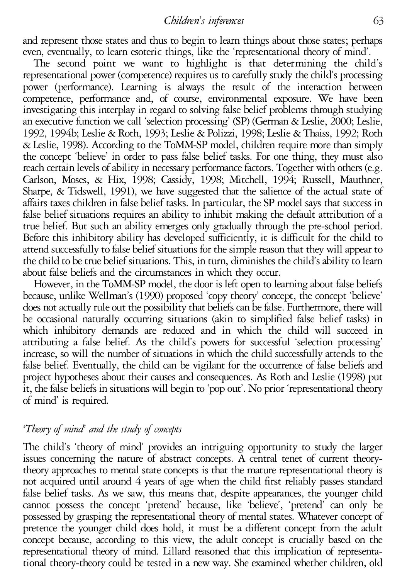and represent those states and thus to begin to learn things about those states; perhaps

even, eventually, to learn esoteric things, like the 'representational theory of mind'. The second point we want to highlight is that determining the child's representational power (competence) requires us to carefully study the child's processing power (performance). Learning is always the result of the interaction between competence, performance and, of course, environmental exposure. We have been investigating this interplay in regard to solving false belief problems through studying an executive function we call 'selection processing' (SP) (German & Leslie, 2000; Leslie, 1992, 1994b; Leslie & Roth, 1993; Leslie & Polizzi, 1998; Leslie & Thaiss, 1992; Roth & Leslie, 1998). According to the ToMM-SP model, children require more than simply the concept 'believe' in order to pass false belief tasks. For one thing, they must also reach certain levels of ability in necessary performance factors. Together with others (e.g. Carlson, Moses, & Hix, 1998; Cassidy, 1998; Mitchell, 1994; Russell, Mauthner, Sharpe, & Tidswell, 1991), we have suggested that the salience of the actual state of affairs taxes children in false belief tasks. In particular, the SP model says that success in false belief situations requires an ability to inhibit making the default attribution of a true belief. But such an ability emerges only gradually through the pre-school period. Before this inhibitory ability has developed sufficiently, it is difficult for the child to attend successfully to false belief situations for thesimplereason that they willappear to the child to be true belief situations. This, in turn, diminishes the child's ability to learn about false beliefs and the circumstances in which they occur.

However, in the ToMM-SP model, the door is left open to learning about false beliefs because, unlike Wellman's (1990) proposed 'copy theory' concept, the concept 'believe' does not actually rule out the possibility that beliefs can be false. Furthermore, there will be occasional naturally occurring situations (akin to simplified false belief tasks) in which inhibitory demands are reduced and in which the child will succeed in attributing a false belief. As the child's powers for successful 'selection processing' increase, so will the number of situations in which the child successfully attends to the false belief. Eventually, the child can be vigilant for the occurrence of false beliefs and project hypotheses about their causes and consequences. As Roth and Leslie (1998) put it, the false beliefs in situations will begin to 'pop out'. No prior 'representational theory of mind' is required.

# *'Theory of mind' and the study of concepts*

The child's 'theory of mind' provides an intriguing opportunity to study the larger issues concerning the nature of abstract concepts. A central tenet of current theorytheory approaches to mental state concepts is that the mature representational theory is not acquired until around 4 years of age when the child first reliably passes standard false belief tasks. As we saw, this means that, despite appearances, the younger child cannot possess the concept 'pretend' because, like 'believe', 'pretend' can only be possessed by grasping the representational theory of mental states. Whatever concept of pretence the younger child does hold, it must be a different concept from the adult concept because, according to this view, the adult concept is crucially based on the representational theory of mind. Lillard reasoned that this implication of representational theory-theory could be tested in a new way. She examined whether children, old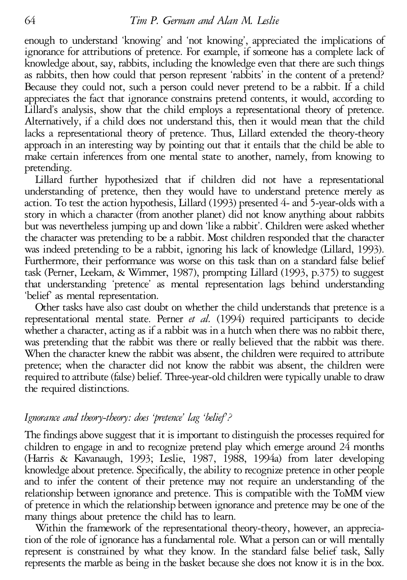enough to understand 'knowing' and 'not knowing', appreciated the implications of ignorance for attributions of pretence. For example, if someone has a complete lack of knowledge about, say, rabbits, including the knowledge even that there are such things as rabbits, then how could that person represent 'rabbits' in the content of a pretend? Because they could not, such a person could never pretend to be a rabbit. If a child appreciates the fact that ignorance constrains pretend contents, it would, according to Lillard's analysis, show that the child employs a representational theory of pretence. Alternatively, if a child does not understand this, then it would mean that the child lacks a representational theory of pretence. Thus, Lillard extended the theory-theory approach in an interesting way by pointing out that it entails that the child be able to make certain inferences from one mental state to another, namely, from knowing to pretending. Lillard further hypothesized that if children did not have <sup>a</sup> representational

understanding of pretence, then they would have to understand pretence merely as action. To test the action hypothesis, Lillard (1993) presented 4- and 5-year-olds with a story in which a character (from another planet) did not know anything about rabbits but was nevertheless jumping up and down 'like a rabbit'. Children were asked whether the character was pretending to be a rabbit. Most children responded that the character was indeed pretending to be a rabbit, ignoring his lack of knowledge (Lillard, 1993). Furthermore, their performance was worse on this task than on a standard false belief task (Perner, Leekam, & Wimmer, 1987), prompting Lillard (1993, p.375) to suggest that understanding 'pretence' as mental representation lags behind understanding 'belief' as mental representation. Other tasks have also cast doubt on whether the child understands that pretence is <sup>a</sup>

representational mental state. Perner *et al.* (1994) required participants to decide whether a character, acting as if a rabbit was in a hutch when there was no rabbit there, was pretending that the rabbit was there or really believed that the rabbit was there.<br>When the character knew the rabbit was absent, the children were required to attribute pretence; when the character did not know the rabbit was absent, the children were required to attribute (false) belief. Three-year-old children were typically unable to draw the required distinctions.

# *Ignorance and theory-theory: does 'pretence' lag 'belief'?*

The findings above suggest that it is important to distinguish the processes required for children to engage in and to recognize pretend play which emerge around 24 months (Harris & Kavanaugh, 1993; Leslie, 1987, 1988, 1994a) from later developing knowledge about pretence. Specifically, the ability to recognize pretence in other people and to infer the content of their pretence may not require an understanding of the relationship between ignorance and pretence. This is compatible with the ToMM view of pretence in which the relationship between ignorance and pretence may be one of the many things about pretence the child has to learn.

Within the framework of the representational theory-theory, however, an appreciation of the role of ignorance has afundamental role. What a person can or will mentally represent is constrained by what they know. In the standard false belief task, Sally represents the marble as being in the basket because she does not know it is in the box.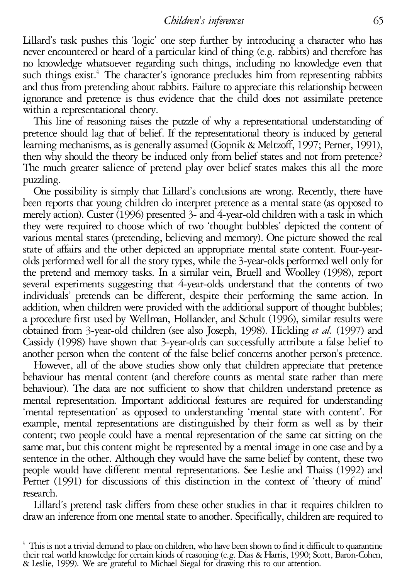Lillard's task pushes this 'logic' one step further by introducing a character who has never encountered or heard of a particular kind of thing (e.g. rabbits) and therefore has no knowledge whatsoever regarding such things, including no knowledge even that such things exist.<sup>4</sup> The character's ignorance precludes him from representing rabbits and thus from pretending about rabbits. Failure to appreciate this relationship between ignorance and pretence is thus evidence that the child does not assimilate pretence

This line of reasoning raises the puzzle of why a representational understanding of pretence should lag that of belief. If the representational theory is induced by general learning mechanisms, as is generally assumed (Gopnik& Meltzoff, 1997; Perner, 1991), then why should the theory be induced only from belief states and not from pretence? The much greater salience of pretend play over belief states makes this all the more puzzling. One possibility is simply that Lillard's conclusions are wrong. Recently, there have

been reports that young children do interpret pretence as a mental state (as opposed to merely action). Custer (1996) presented 3- and 4-year-old children with a task in which they were required to choose which of two 'thought bubbles' depicted the content of various mental states (pretending, believing and memory). One picture showed the real olds performed well for all the story types, while the 3-year-olds performed well only for the pretend and memory tasks. In a similar vein, Bruell and Woolley (1998), report several experiments suggesting that 4-year-olds understand that the contents of two individuals' pretends can be different, despite their performing the same action. In addition, when children were provided with the additional support of thought bubbles; a procedure first used by Wellman, Hollander, and Schult (1996), similar results were obtained from 3-year-old children (see also Joseph, 1998). Hickling *et al.* (1997) and Cassidy (1998) have shown that 3-year-olds can successfully attribute a false belief to another person when the content of the false belief concerns another person's pretence.

However, all of the above studies show only that children appreciate that pretence behaviour has mental content (and therefore counts as mental state rather than mere behaviour). The data are not sufficient to show that children understand pretence as mental representation. Important additional features are required for understanding 'mental representation' as opposed to understanding 'mental state with content'. For example, mental representations are distinguished by their form as well as by their content; two people could have a mental representation of the same cat sitting on the same mat, but this content might be represented by a mental image in one case and by a sentence in the other. Although they would have the same belief by content, these two people would have different mental representations. See Leslie and Thaiss (1992) and Perner (1991) for discussions of this distinction in the context of 'theory of mind' research. Lillard's pretend task differs from these other studies in that it requires children to

draw an inference from one mental state to another. Specifically, children are required to

This is not a trivial demand to place on children, who have been shown to find it difficult to quarantine their real world knowledge for certain kinds of reasoning (e.g. Dias & Harris, 1990; Scott, Baron-Cohen, & Leslie, 1999). We are grateful to Michael Siegal for drawing this to our attention.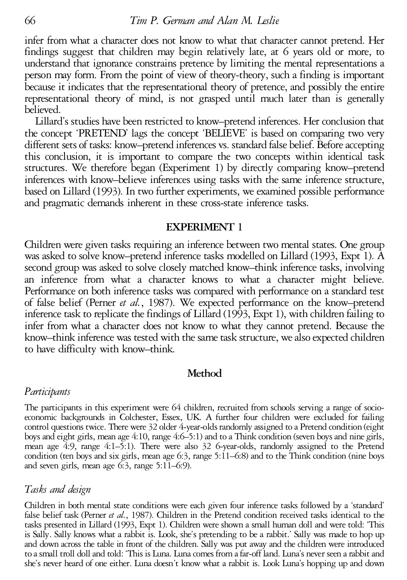infer from what a character does not know to what that character cannot pretend. Her findings suggest that children may begin relatively late, at 6 years old or more, to understand that ignorance constrains pretence by limiting the mental representations a person may form. From the point of view of theory-theory, such a finding is important because it indicates that the representational theory of pretence, and possibly the entire representational theory of mind, is not grasped until much later than is generally

Lillard's studies have been restricted to know–pretend inferences. Her conclusion that the concept 'PRETEND' lags the concept 'BELIEVE' is based on comparing two very different sets of tasks: know–pretend inferences vs. standard false belief. Before accepting this conclusion, it is important to compare the two concepts within identical task structures. We therefore began (Experiment 1) by directly comparing know–pretend inferences with know–believe inferences using tasks with the same inference structure, based on Lillard (1993). In two further experiments, we examined possible performance and pragmatic demands inherent in these cross-state inference tasks.

#### **EXPERIMENT 1**

Children were given tasks requiring an inference between two mental states. One group was asked to solve know–pretend inference tasks modelled on Lillard (1993, Expt 1). A second group was asked to solve closely matched know–think inference tasks, involving an inference from what <sup>a</sup> character knows to what <sup>a</sup> character might believe. Performance on both inference tasks was compared with performance on <sup>a</sup> standard test of false belief (Perner *et al.*, 1987). We expected performance on the know–pretend inference task to replicate the findings of Lillard  $(19\overline{9}3, \text{Expt 1})$ , with children failing to infer from what a character does not know to what they cannot pretend. Because the know–think inference was tested with the same task structure, we also expected children to have difficulty with know–think.

## **Method**

#### *Participants*

The participants in this experiment were <sup>64</sup> children, recruited from schools serving <sup>a</sup> range of socio- economic backgrounds in Colchester, Essex, UK. <sup>A</sup> further four children were excluded for failing control questions twice. There were 32 older 4-year-olds randomly assigned to a Pretend condition (eight boys and eight girls, mean age 4:10, range 4:6–5:1) and to a Think condition (seven boys and nine girls, mean age  $4:9$ , range  $4:1-5:1$ ). There were also 32 6-year-olds, randomly assigned to the Pretend condition (ten boys and six girls, mean age 6:3, range 5:11–6:8) and to the Think condition (nine boys and seven girls, mean age 6:3, range 5:11–6:9).

#### *Tasks and design*

Children in both mental state conditions were each given four inference tasks followed by a 'standard' false belief task (Perner *et al.*, 1987). Children in the Pretend condition received tasks identical to the tasks presented in Lillard (1993, Expt 1). Children were shown a small human doll and were told: 'This is Sally. Sally knows what a rabbit is. Look, she's pretending to be a rabbit.' Sally was made to hop up and down across the table in front of the children. Sally was put away and the children were introduced to a small troll doll and told: 'This is Luna. Luna comes from a far-off land. Luna's never seen a rabbit and she's never heard of one either. Luna doesn't know what a rabbit is. Look Luna's hopping up and down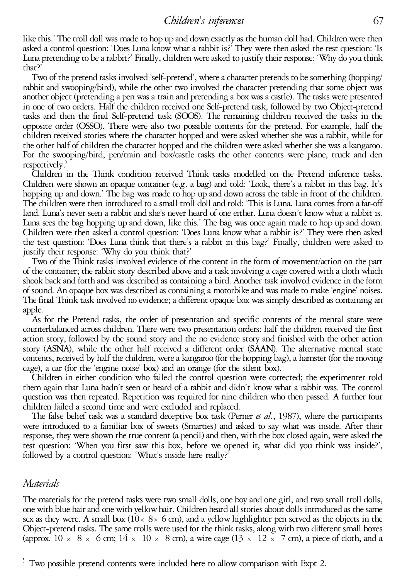like this.' The troll doll was made to hop up and down exactly as the human doll had. Children were then asked a control question: 'Does Luna know what a rabbit is?' They were then asked thetest question: 'Is Luna pretending to be a rabbit?' Finally, children were asked to justify their response: 'Why do you think

that?'<br>Two of the pretend tasks involved 'self-pretend', where a character pretends to be something (hopping/<br>rabbit and swooping/bird), while the other two involved the character pretending that some object was<br>another ob in one of two orders. Half the children received one Self-pretend task, followed by two Object-pretend tasks and then the final Self-pretend task (SOOS). The remaining children received the tasks in the opposite order (OSSO). There were also two possible contents for the pretend. For example, half the children received stories where the character hopped and were asked whether she was a rabbit, while for For the swooping/bird, pen/train and box/castle tasks the other contents were plane, truck and den

respectively.<sup>5</sup><br>Children in the Think condition received Think tasks modelled on the Pretend inference tasks.<br>Children were shown an opaque container (e.g. a bag) and told: 'Look, there's a rabbit in this bag. It's<br>hoppin Luna sees the bag hopping up and down, like this.' The bag was once again made to hop up and down.<br>Children were then asked a control question: 'Does Luna know what a rabbit is?' They were then asked the test question: 'Does Luna think that there's a rabbit in this bag?' Finally, children were asked to justify their response: 'Why do you think that?' Two of the Think tasks involved evidence of the content in the form of movement/action on the part

of the container; the rabbit story described above and a task involving a cage covered with a cloth which shook back and forth and was described as containing a bird. Another task involved evidence in the form of sound. An opaque box was described as containing a motorbike and was made to make 'engine' noises.<br>The final Think task involved no evidence; a different opaque box was simply described as containing an apple.

As for the Pretend tasks, the order of presentation and specific contents of the mental state were counterbalanced across children. There were two presentation orders: half the children received the first action story, followed by the sound story and the no evidence story and finished with the other action story (ASNA), while the other half received a different order (SAAN). The alternative mental state contents, received by half thechildren, werea kangaroo (for the hopping bag), a hamster (for the moving cage), <sup>a</sup> car (for the 'engine noise' box) and an orange (for the silent box). Children in either condition who failed the control question were corrected; the experimenter told

them again that Luna hadn't seen or heard of a rabbit and didn't know what a rabbit was. The control question was then repeated. Repetition was required for nine children who then passed. A further four children failed a second time and were excluded and replaced.<br>The false belief task was a standard deceptive box task (P

response, they were shown the true content (a pencil) and then, with the box closed again, were asked the test question: 'When you first saw this box, before we opened it, what did you think was inside?', followed by a control question: 'What's inside here really?'

#### *Materials*

The materials for the pretend tasks were two small dolls, one boy and one girl, and two small troll dolls, one with blue hair and one with yellow hair. Children heard all stories about dolls introduced as the same sex as they were. A small box (10 $\times$  8 $\times$  6 cm), and a yellow highlighter pen served as the objects in the Object-pretend tasks. The same trolls were used for the think tasks, along with two different small boxes (approx. 10  $\times$  8  $\times$  6 cm; 14  $\times$  10  $\times$  8 cm), a wire cage (13  $\times$  12  $\times$  7 cm), a piece of cloth, and a

 $5$  Two possible pretend contents were included here to allow comparison with Expt 2.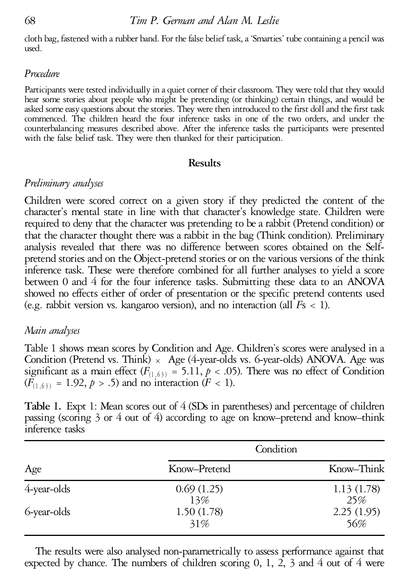cloth bag, fastened with a rubber band. For the false belief task, a 'Smarties' tube containing a pencil was used.

# *Procedure*

Participants were tested individually in a quiet corner of their classroom. They were told that they would hear some stories about people who might be pretending (or thinking) certain things, and would be asked some easy questions about the stories. They were then introduced to the first doll and the first task commenced. The children heard the four inference tasks in one of the two orders, and under the counterbalancing measures described above. After the inference tasks the participants were presented with the false belief task. They were then thanked for their participation.

# **Results**

# *Preliminary analyses*

Children were scored correct on a given story if they predicted the content of the character's mental state in line with that character's knowledge state. Children were required to deny that the character was pretending to be a rabbit (Pretend condition) or that the character thought there was a rabbit in the bag (Think condition). Preliminary analysis revealed that there was no difference between scores obtained on the Self-<br>pretend stories and on the Object-pretend stories or on the various versions of the think inference task. These were therefore combined for all further analyses to yield a score between 0 and 4 for the four inference tasks. Submitting these data to an ANOVA showed no effects either of order of presentation or the specific pretend contents used (e.g. rabbit version vs. kangaroo version), and no interaction (all  $Fs < 1$ ).

# *Main analyses*

Table 1 shows mean scores by Condition and Age. Children's scores were analysed in a Condition (Pretend vs. Think)  $\times$  Age (4-year-olds vs. 6-year-olds) ANOVA. Age was significant as a main effect  $(F_{(1, 63)} = 5.11, p < .05)$ . There was no effect of Condition  $(F_{(1, 63)} = 1.92, p > .5)$  and no interaction  $(F < 1)$ .

**Table 1.** Expt 1: Mean scores out of 4 (SDs in parentheses) and percentage of children passing (scoring 3 or 4 out of 4) according to age on know–pretend and know–think inference tasks

| Age            | Condition         |                   |
|----------------|-------------------|-------------------|
|                | Know-Pretend      | Know-Think        |
| $4$ -year-olds | 0.69(1.25)<br>13% | 1.13(1.78)<br>25% |
| 6-year-olds    | 1.50(1.78)<br>31% | 2.25(1.95)<br>56% |

The results were also analysed non-parametrically to assess performance against that expected by chance. The numbers of children scoring  $0, 1, 2, 3$  and  $4$  out of  $4$  were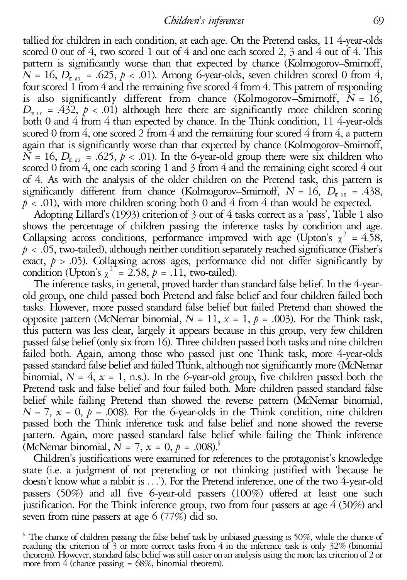tallied for children in each condition, at each age. On the Pretend tasks, 11 4-year-olds scored 0 out of 4, two scored 1 out of 4 and one each scored 2, 3 and 4 out of 4. This pattern is significantly worse than that expected by chance (Kolmogorov–Smirnoff,  $N = 16$ ,  $D_{\text{max}} = .625$ ,  $p < .01$ ). Among 6-year-olds, seven children scored 0 from 4, four scored 1 from 4 and the remaining five scored 4 from 4. This pattern of responding is also significantly different from chance (Kolmogorov–Smirnoff,  $\overline{N} = 16$ ,  $D_{\text{max}} = .432$ ,  $p < .01$ ) although here there are significantly more children scoring both 0 and 4 from 4 than expected by chance. In the Think condition, 11 4-year-olds scored 0 from 4, one scored 2 from 4 and the remaining four scored 4 from 4, a pattern again that is significantly worse than that expected by chance (Kolmogorov–Smirnoff,  $N = 16$ ,  $D_{\text{max}} = .625$ ,  $p < .01$ ). In the 6-year-old group there were six children who scored 0 from 4, one each scoring 1 and 3 from 4 and the remaining eight scored 4 out of 4. As with the analysis of the older children on the Pretend task, this pattern is significantly different from chance (Kolmogorov–Smirnoff,  $N = 16$ ,  $D_{\text{max}} = .438$ ,  $p < .01$ ), with more children scoring both 0 and 4 from 4 than would be expected.<br>Adopting Lillard's (1993) criterion of 3 out of 4 tasks c

shows the percentage of children passing the inference tasks by condition and age. Collapsing across conditions, performance improved with age (Upton's  $\chi^2 = 4.58$ ,  $p < .05$ , two-tailed), although neither condition separately reached significance (Fisher's exact,  $p > .05$ ). Collapsing across ages, performance did not differ significantly by condition (Upton's  $\chi^2 = 2.58$ ,  $p = .11$ , two-tailed).

The inference tasks, in general, proved harder than standard false belief. In the 4-year- old group, one child passed both Pretend and false belief and four children failed both tasks. However, more passed standard false belief but failed Pretend than showed the opposite pattern (McNemar binomial,  $N = 11$ ,  $x = 1$ ,  $p = .003$ ). For the Think task, this pattern was less clear, *largely* it appears because in this group, very few children passed false belief (only six from 16). Three children passed both tasks and nine children failed both. Again, among those who passed just one Think task, more 4-year-olds passed standard false belief and failed Think, although not significantly more (McNemar binomial,  $N = 4$ ,  $x = 1$ , n.s.). In the 6-year-old group, five children passed both the Pretend task and false belief and four failed both. More children passed standard false belief while failing Pretend than showed the reverse pattern (McNemar binomial,  $N = 7$ ,  $x = 0$ ,  $p = .008$ ). For the 6-year-olds in the Think condition, nine children passed both the Think inference task and false belief and none showed the reverse pattern. Again, more passed standard false belief while failing the Think inference (McNemar binomial,  $\overline{N} = 7$ ,  $x = 0$ ,  $p = .008$ ).<sup>6</sup>

Children's justifications were examined for references to the protagonist's knowledge state (i.e. a judgment of not pretending or not thinking justified with 'because he doesn't know what a rabbit is ...'). For the Pretend inference, one of the two 4-year-old passers (50%) and all five 6-year-old passers (100%) offered at least one such justification. For the Think inference group, two from four passers at age 4 (50%) and seven from nine passers at age 6 (77%) did so.

<sup>&</sup>lt;sup>6</sup> The chance of children passing the false belief task by unbiased guessing is 50%, while the chance of reaching the criterion of 3 or more correct tasks from 4 in the inference task is only 32% (binomial theorem). However, standard false belief was stilleasier on an analysis using themorelax criterion of <sup>2</sup> or more from <sup>4</sup> (chance passing <sup>=</sup> 68%, binomial theorem).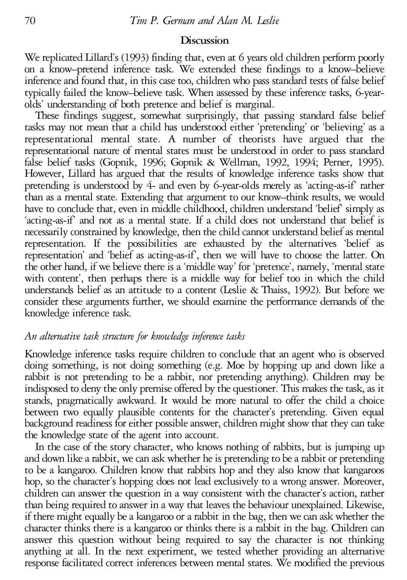# **Discussion**

We replicated Lillard's (1993) finding that, even at 6 years old children perform poorly on a know–pretend inference task. We extended these findings to a know–believe inference and found that, in this case too, children who pass standard tests of false belief typically failed the know–believe task. When assessed by these inference tasks, 6-yearolds' understanding of both pretence and belief is marginal.

These findings suggest, somewhat surprisingly, that passing standard false belief tasks may not mean that a child has understood either 'pretending' or 'believing' as a representational mental state. A number of theorists have argued that the representational nature of mental states must be understood in order to pass standard false belief tasks (Gopnik, 1996; Gopnik & Wellman, 1992, 1994; Perner, 1995). However, Lillard has argued that the results of knowledge inference tasks show that pretending is understood by 4- and even by 6-year-olds merely as 'acting-as-if' rather than as a mental state. Extending that argument to our know–think results, we would have to conclude that, even in middle childhood, children understand 'belief' simply as 'acting-as-if' and not as a mental state. If a child does not understand that belief is necessarily constrained by knowledge, then the child cannot understand belief as mental representation. If the possibilities are exhausted by the alternatives 'belief as representation' and 'belief as acting-as-if', then we will have to choose the latter. On the other hand, if we believe there is a 'middle way' for 'pretence', namely, 'mental state with content', then perhaps there is a middle way for belief too in which the child understands belief as an attitude to a content (Leslie & Thaiss, 1992). But before we consider these arguments further, we should examine the performance demands of the knowledge inference task.

# *An alternative task structure for knowledge inference tasks*

Knowledge inference tasks require children to conclude that an agent who is observed doing something, is not doing something (e.g. Moe by hopping up and down like a rabbit is not pretending to be a rabbit, nor pretending anything). Children may be indisposed to deny the only premise offered by the questioner. This makes thetask, as it stands, pragmatically awkward. It would be more natural to offer the child a choice between two equally plausible contents for the character's pretending. Given equal background readiness for either possible answer, children might show that they can take the knowledge state of the agent into account.

In the case of the story character, who knows nothing of rabbits, but is jumping up and down like a rabbit, we can ask whether he is pretending to be a rabbit or pretending to be a kangaroo. Children know that rabbits hop and they also know that kangaroos hop, so the character's hopping does not lead exclusively to a wrong answer. Moreover, children can answer the question in a way consistent with the character's action, rather than being required to answer in a way that leaves the behaviour unexplained. Likewise, if there might equally be a kangaroo or a rabbit in the bag, then we can ask whether the character thinks there is a kangaroo or thinks there is a rabbit in the bag. Children can answer this question without being required to say the character is not thinking anything at all. In the next experiment, we tested whether providing an alternative response facilitated correct inferences between mental states. We modified the previous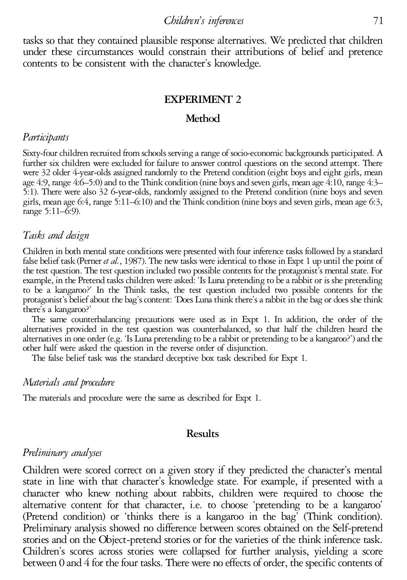#### *Children's inferences* 71

tasks so that they contained plausible response alternatives. We predicted that children under these circumstances would constrain their attributions of belief and pretence contents to be consistent with the character's knowledge.

#### **EXPERIMENT 2**

#### **Method**

#### *Participants*

Sixty-four children recruited from schools serving a range of socio-economic backgrounds participated. A further six children were excluded for failure to answer control questions on the second attempt. There were <sup>32</sup> older 4-year-olds assigned randomly to the Pretend condition (eight boys and eight girls, mean age 4:9, range 4:6–5:0) and to the Think condition (nine boys and seven girls, mean age 4:10, range 4:3– 5:1). There were also 32 6-year-olds, randomly assigned to the Pretend condition (nine boys and seven girls, mean age 6:4, range 5:11–6:10) and the Think condition (nine boys and seven girls, mean age 6:3, range 5:11–6:9).

# *Tasks and design*

Children in both mental state conditions were presented with four inference tasks followed by a standard false belief task (Perner *et al.*, 1987). The new tasks were identical to those in Expt 1 up until the point of the test question. The test question included two possible contents for the protagonist's mental state. For example, in the Pretend tasks children were asked: 'Is Luna pretending to be a rabbit or is she pretending to be <sup>a</sup> kangaroo?' In the Think tasks, the test question included two possible contents for the protagonist's beliefabout the bag'scontent: 'Does Lunathink there'sarabbit in the bag or does shethink there's <sup>a</sup> kangaroo?' The same counterbalancing precautions were used as in Expt 1. In addition, the order of the

alternatives provided in the test question was counterbalanced, so that half the children heard the alternatives in one order (e.g. 'Is Luna pretending to be a rabbit or pretending to be a kangaroo?') and the other half were asked the question in the reverse order of disjunction.<br>The false belief task was the standard de

## *Materials and procedure*

The materials and procedure were the same as described for Expt 1.

#### **Results**

### *Preliminary analyses*

Children were scored correct on a given story if they predicted the character's mental state in line with that character's knowledge state. For example, if presented with a character who knew nothing about rabbits, children were required to choose the alternative content for that character, i.e. to choose 'pretending to be a kangaroo' (Pretend condition) or 'thinks there is a kangaroo in the bag' (Think condition). Preliminary analysis showed no difference between scores obtained on the Self-pretend stories and on the Object-pretend stories or for the varieties of the think inference task. Children's scores across stories were collapsed for further analysis, yielding a score between 0 and 4 for the four tasks. There were no effects of order, the specific contents of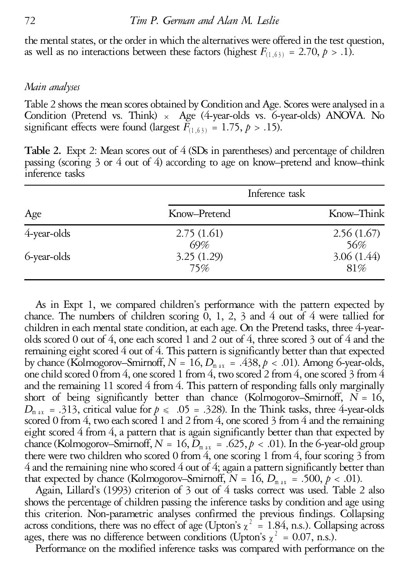the mental states, or the order in which the alternatives were offered in the test question, as well as no interactions between these factors (highest  $F_{(1,63)} = 2.70$ ,  $p > .1$ ).

## *Main analyses*

Table 2 shows the mean scores obtained by Condition and Age. Scores were analysed in a Condition (Pretend vs. Think)  $\times$  Age (4-year-olds vs. 6-year-olds) ANOVA. No significant effects were found (largest  $\overline{F}_{(1.63)} = 1.75$ ,  $p > .15$ ).

**Table 2.** Expt 2: Mean scores out of 4 (SDs in parentheses) and percentage of children passing (scoring 3 or 4 out of 4) according to age on know–pretend and know–think inference tasks

| Age            | Inference task    |                   |
|----------------|-------------------|-------------------|
|                | Know-Pretend      | Know–Think        |
| $4$ -year-olds | 2.75(1.61)<br>69% | 2.56(1.67)<br>56% |
| 6-year-olds    | 3.25(1.29)<br>75% | 3.06(1.44)<br>81% |

As in Expt 1, we compared children's performance with the pattern expected by chance. The numbers of children scoring  $\overline{0}$ , 1, 2, 3 and 4 out of 4 were tallied for children in each mental state condition, at each age. On the Pretend tasks, three 4-yearolds scored 0 out of 4, one each scored 1 and 2 out of 4, three scored 3 out of 4 and the remaining eight scored  $4$  out of  $4$ . This pattern is significantly better than that expected by chance (Kolmogorov–Smirnoff,  $N = 16$ ,  $D_{\text{max}} = .438$ ,  $p < .01$ ). Among 6-year-olds, one child scored 0 from 4, one scored 1 from 4, two scored 2 from 4, one scored 3 from 4 and the remaining 11 scored 4 from 4. This pattern of responding falls only marginally short of being significantly better than chance (Kolmogorov–Smirnoff,  $\overline{N} = 16$ ,  $D_{\text{max}} = .313$ , critical value for  $p \le .05 = .328$ ). In the Think tasks, three 4-year-olds scored 0 from 4, two each scored 1 and 2 from 4, one scored 3 from 4 and the remaining eight scored 4 from 4, a pattern that is again significantly better than that expected by chance (Kolmogorov–Smirnoff,  $N = 16$ ,  $\overline{D}_{m}$   $_{\alpha}$  = .625,  $p < .01$ ). In the 6-year-old group there were two children who scored 0 from 4, one scoring 1 from 4, four scoring  $3$  from  $4$  and the remaining nine who scored  $4$  out of  $4$ ; again a pattern significantly better than that expected by chance (Kolmogorov–Smirnoff,  $N = 16$ ,  $D_{\text{max}} = .500$ ,  $p < .01$ ).

Again, Lillard's (1993) criterion of 3 out of 4 tasks correct was used. Table 2 also shows the percentage of children passing the inference tasks by condition and age using this criterion. Non-parametric analyses confirmed the previous findings. Collapsing across conditions, there was no effect of age (Upton's  $\chi^2 = 1.84$ , n.s.). Collapsing across ages, there was no difference between conditions (Upton's  $\chi^2 = 0.07$ , n.s.).

Performance on the modified inference tasks was compared with performance on the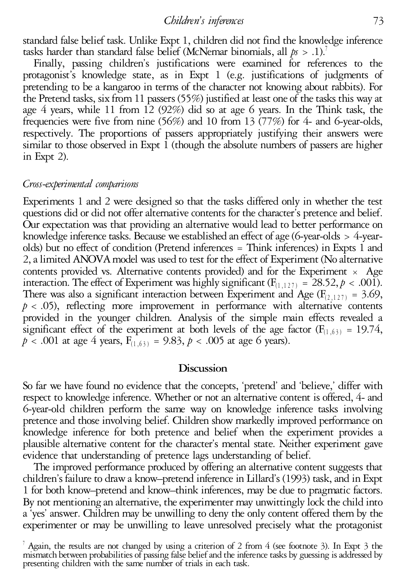standard false belief task. Unlike Expt 1, children did not find the knowledge inference tasks harder than standard false belief (McNemar binomials, all  $p_s > .1$ ).<sup>7</sup>

Finally, passing children's justifications were examined for references to the protagonist's knowledge state, as in Expt 1 (e.g. justifications of judgments of pretending to be a kangaroo in terms of the character not knowing about rabbits). For the Pretend tasks, six from 11 passers (55%) justified at least one of the tasks this way at age 4 years, while 11 from 12 (92%) did so at age 6 years. In the Think task, the frequencies were five from nine (56%) and 10 from 13 (77%) for 4- and 6-year-olds, respectively. The proportions of passers appropriately justifying their answers were similar to those observed in Expt  $\hat{1}$  (though the absolute numbers of passers are higher in Expt 2).

# *Cross-experimental comparisons*

Experiments 1 and 2 were designed so that the tasks differed only in whether the test Our expectation was that providing an alternative would lead to better performance on knowledge inference tasks. Because we established an effect of age (6-year-olds  $>$  4-yearolds) but no effect of condition (Pretend inferences = Think inferences) in Expts 1 and 2, a limited ANOVA model was used to test for the effect of Experiment (No alternative contents provided vs. Alternative contents provided) and for the Experiment  $\times$  Age interaction. The effect of Experiment was highly significant  $(F_{(1,127)} = 28.52, p < .001)$ .<br>There was also a significant interaction between Experiment and Age  $(F_{(2,127)} = 3.69)$ ,  $p < .05$ ), reflecting more improvement in performance with alternative contents provided in the younger children. Analysis of the simple main effects revealed a significant effect of the experiment at both levels of the age factor ( $F_{(1,63)} = 19.74$ ,  $p < .001$  at age 4 years,  $F_{(1,63)} = 9.83$ ,  $p < .005$  at age 6 years).

## **Discussion**

So far we have found no evidence that the concepts, 'pretend' and 'believe,' differ with respect to knowledge inference. Whether or not an alternative content is offered, 4- and 6-year-old children perform the same way on knowledge inference tasks involving pretence and those involving belief. Children show markedly improved performance on knowledge inference for both pretence and belief when the experiment provides a plausible alternative content for the character's mental state. Neither experiment gave

The improved performance produced by offering an alternative content suggests that children's failure to draw a know–pretend inference in Lillard's (1993) task, and in Expt 1 for both know–pretend and know–think inferences, may be due to pragmatic factors. By not mentioning an alternative, the experimenter may unwittingly lock the child into a 'yes' answer. Children may be unwilling to deny the only content offered them by the experimenter or may be unwilling to leave unresolved precisely what the protagonist

<sup>&</sup>lt;sup>7</sup> Again, the results are not changed by using a criterion of 2 from 4 (see footnote 3). In Expt 3 the mismatch between probabilities of passing false belief and the inference tasks by guessing is addressed by presenting children with the same number of trials in each task.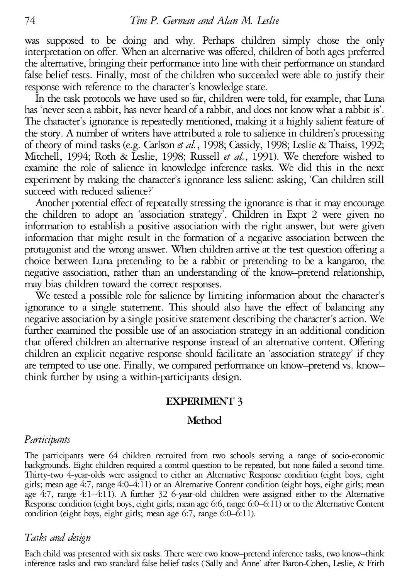was supposed to be doing and why. Perhaps children simply chose the only interpretation on offer. When an alternative was offered, children of both ages preferred the alternative, bringing their performance into line with their performance on standard false belief tests. Finally, most of the children who succeeded were able to justify their response with reference to the character's knowledge state.

In the task protocols we have used so far, children were told, for example, that Luna<br>has 'never seen a rabbit, has never heard of a rabbit, and does not know what a rabbit is'. The character's ignorance is repeatedly mentioned, making it a highly salient feature of the story. A number of writers have attributed a role to salience in children's processing of theory of mind tasks (e.g. Carlson *etal.*, 1998; Cassidy, 1998; Leslie & Thaiss, 1992; Mitchell, 1994; Roth & Leslie, 1998; Russell *et al.*, 1991). We therefore wished to examine the role of salience in knowledge inference tasks. We did this in the next experiment by making the character's ignorance less salient: asking, 'Can children still succeed with reduced salience?'<br>Another potential effect of repeatedly stressing the ignorance is that it may encourage

the children to adopt an 'association strategy'. Children in Expt 2 were given no information to establish a positive association with the right answer, but were given information that might result in the formation of a negative association between the protagonist and the wrong answer. When children arrive at the test question offering a choice between Luna pretending to be a rabbit or pretending to be a kangaroo, the negative association, rather than an understanding of the know-pretend relationship, may bias children toward the correct responses.<br>We tested a possible role for salience by limiting information about the character's

ignorance to a single statement. This should also have the effect of balancing any negative association by a single positive statement describing the character's action. We further examined the possible use of an association strategy in an additional condition that offered children an alternative response instead of an alternative content. Offering children an explicit negative response should facilitate an 'association strategy' if they are tempted to use one. Finally, we compared performance on know–pretend vs. know– think further by using a within-participants design.

# **EXPERIMENT 3**

# **Method**

#### *Participants*

The participants were 64 children recruited from two schools serving a range of socio-economic<br>backgrounds. Eight children required a control question to be repeated, but none failed a second time. Thirty-two 4-year-olds were assigned to either an Alternative Response condition (eight boys, eight girls; mean age 4:7, range 4:0–4:11) or an Alternative Content condition (eight boys, eight girls; mean age 4:7, range 4:1-4:11). A further 32 6-year-old children were assigned either to the Alternative Response condition (eight boys, eight girls; mean age 6:6, range 6:0-6:11) or to the Alternative Content condition (eight b

#### *Tasks and design*

Each child was presented with six tasks. There were two know–pretend inference tasks, two know–think inference tasks and two standard false belief tasks ('Sally and Anne' after Baron-Cohen, Leslie, & Frith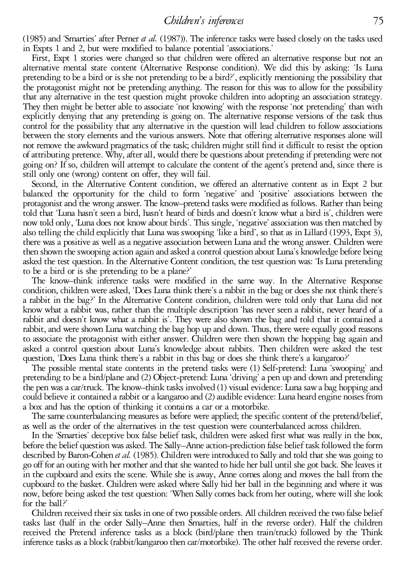#### *Children's inferences* 75

(1985) and 'Smarties' after Perner *et al.* (1987)). The inference tasks were based closely on thetasks used in Expts <sup>1</sup> and 2, but were modified to balance potential 'associations.' First, Expt <sup>1</sup> stories were changed so that children were offered an alternative response but not an

alternative mental state content (Alternative Response condition). We did this by asking: 'Is Luna pretending to bea bird or is she not pretending to bea bird?', explicitly mentioning the possibility that the protagonist might not be pretending anything. The reason for this was to allow for the possibility that any alternative in the test question might provoke children into adopting an association strategy. They then might be better able to associate 'not knowing' with the response'not pretending' than with explicitly denying that any pretending is going on. The alternative response versions of the task thus<br>control for the possibility that any alternative in the question will lead children to follow associations<br>between the of attributing pretence. Why, after all, would there be questions about pretending if pretending were not going on? If so, children will attempt to calculate the content of the agent's pretend and, since there is still only one (wrong) content on offer, they will fail.

Second, in the Alternative Content condition, we offered an alternative content as in Expt 2 but balanced the opportunity for the child to form 'negative' and 'positive' associations between the protagonistand the wrong answer. The know–pretend tasks were modified as follows. Rather than being told that 'Luna hasn't seen <sup>a</sup> bird, hasn't heard of birds and doesn't know what <sup>a</sup> bird is', children were now told only, 'Luna does not know about birds'. This single, 'negative' association was then matched by also telling the child explicitly that Luna was swooping 'like a bird', so that as in Lillard (1993, Expt 3),<br>there was a positive as well as a negative association between Luna and the wrong answer. Children were then shown the swooping action again and asked a control question about Luna's knowledge before being asked the test question. In the Alternative Content condition, the test question was: 'Is Luna pretending to be <sup>a</sup> bird or is she pretending to be <sup>a</sup> plane?' The know–think inference tasks were modified in the same way. In the Alternative Response

condition, children were asked, 'Does Luna think there's a rabbit in the bag or does she not think there's a rabbit in the bag?' In the Alternative Content condition, children were told only that Luna did not know what a rabbit was, rather than the multiple description 'has never seen a rabbit, never heard of a rabbit and doesn't know what a rabbit is'. They were also shown the bag and told that it contained a rabbit, and were shown Luna watching the bag hop up and down. Thus, there were equally good reasons to associate the protagonist with either answer. Children were then shown the hopping bag again and asked a control question about Luna's knowledge about rabbits. Then children were asked the test question, 'Does Luna think there's <sup>a</sup> rabbit in this bag or does she think there's <sup>a</sup> kangaroo?' The possible mental state contents in the pretend tasks were (1) Self-pretend: Luna 'swooping' and

pretending to bea bird/plane and (2) Object-pretend: Luna'driving' a pen up and down and pretending the pen was a car/truck. The know–think tasks involved (1) visual evidence: Luna saw a bag hopping and could believe it contained a rabbit or a kangaroo and (2) audible evidence: Luna heard engine noises from

a box and has the option of thinking it contains a car or a motorbike.<br>The same counterbalancing measures as before were applied; the specific content of the pretend/belief,<br>as well as the order of the alternatives in the

described by Baron-Cohen *et al.* (1985). Children were introduced to Sally and told that she was going to go off foran outing with her motherand that she wanted to hide her ball until she got back. Sheleaves it in the cupboard and exits the scene. While she is away, Anne comes along and moves the ball from the<br>cupboard to the basket. Children were asked where Sally hid her ball in the beginning and where it was now, before being asked the test question: 'When Sally comes back from her outing, where will she look for the ball?'<br>Children received their six tasks in one of two possible orders. All children received the two false belief

tasks last (half in the order Sally–Anne then Smarties, half in the reverse order). Half the children received the Pretend inference tasks as a block (bird/plane then train/truck) followed by the Think inference tasks as a block (rabbit/kangaroo then car/motorbike). The other half received the reverse order.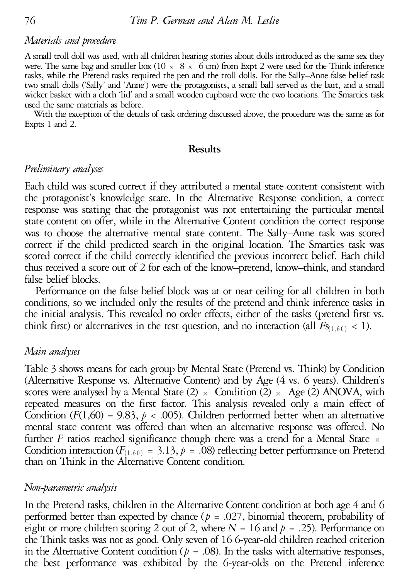# *Materials and procedure*

A small troll doll was used, with all children hearing stories about dolls introduced as the same sex they were. The same bag and smaller box (10  $\times$  8  $\times$  6 cm) from Expt 2 were used for the Think inference tasks, while the Pretend tasks required the pen and the troll dolls. For the Sally–Anne false belief task two small dolls ('Sally' and 'Anne') were the protagonists, <sup>a</sup> small ball served as the bait, and <sup>a</sup> small wicker basket with <sup>a</sup> cloth 'lid' and asmall wooden cupboard were the two locations. The Smarties task

used the same materials as before. With the exception of the details of task ordering discussed above, the procedure was the same as for Expts <sup>1</sup> and 2.

#### **Results**

# *Preliminary analyses*

Each child was scored correct if they attributed a mental state content consistent with the protagonist's knowledge state. In the Alternative Response condition, a correct response was stating that the protagonist was not entertaining the particular mental state content on offer, while in the Alternative Content condition the correct response was to choose the alternative mental state content. The Sally–Anne task was scored correct if the child predicted search in the original location. The Smarties task was scored correct if the child correctly identified the previous incorrect belief. Each child thus received a score out of 2 for each of the know–pretend, know–think, and standard false belief blocks.

Performance on the false belief block was at or near ceiling for all children in both conditions, so we included only the results of the pretend and think inference tasks in the initial analysis. This revealed no order effects, either of the tasks (pretend first vs. think first) or alternatives in the test question, and no interaction (all  $F_{S(1,60)}$  < 1).

## *Main analyses*

Table 3 shows means for each group by Mental State (Pretend vs. Think) by Condition (Alternative Response vs. Alternative Content) and by Age (4 vs. 6 years). Children's scores were analysed by a Mental State (2)  $\times$  Condition (2)  $\times$  Age (2) ANOVA, with repeated measures on the first factor. This analysis revealed only a main effect of Condition  $(F(1,60) = 9.83, p < .005)$ . Children performed better when an alternative mental state content was offered than when an alternative response was offered. No further *F* ratios reached significance though there was a trend for a Mental State  $\times$ Condition interaction ( $F_{(1,60)} = 3.13$ ,  $p = .08$ ) reflecting better performance on Pretend than on Think in the Alternative Content condition.

## *Non-parametric analysis*

In the Pretend tasks, children in the Alternative Content condition at both age 4 and 6 performed better than expected by chance ( $p = .027$ , binomial theorem, probability of eight or more children scoring 2 out of 2, where  $N = 16$  and  $p = .25$ ). Performance on the Think tasks was not as good. Only seven of 16 6-year-old children reached criterion in the Alternative Content condition ( $p = .08$ ). In the tasks with alternative responses, the best performance was exhibited by the 6-year-olds on the Pretend inference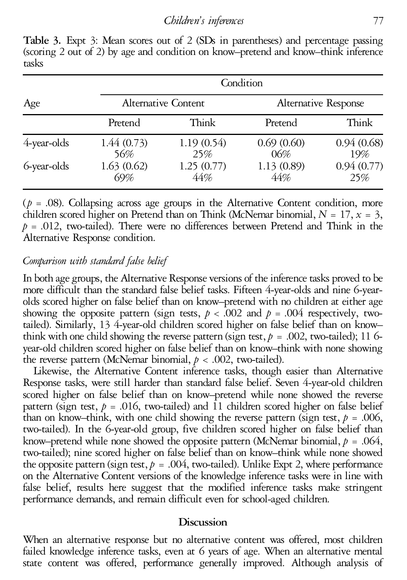**Condition** Age Alternative Content Alternative Response Pretend Think Pretend Think 4-year-olds 1.44 (0.73) 1.19 (0.54) 0.69 (0.60) 0.94 (0.68) 56% 25% 06% 19% 6-year-olds 1.63 (0.62) 1.25 (0.77) 1.13 (0.89) 0.94 (0.77) 69% 44% 44% 25%

**Table 3.** Expt 3: Mean scores out of 2 (SDs in parentheses) and percentage passing (scoring 2 out of 2) by age and condition on know–pretend and know–think inference tasks

( $p = .08$ ). Collapsing across age groups in the Alternative Content condition, more children scored higher on Pretend than on Think (McNemar binomial,  $N = 17$ ,  $x = 3$ ,  $p = .012$ , two-tailed). There were no differences between Pretend and Think in the Alternative Response condition.

# *Comparison with standard false belief*

In both age groups, the Alternative Response versions of the inference tasks proved to be more difficult than the standard false belief tasks. Fifteen 4-year-olds and nine 6-yearolds scored higher on false belief than on know–pretend with no children at either age showing the opposite pattern (sign tests,  $p < .002$  and  $p = .004$  respectively, twotailed). Similarly, 13 4-year-old children scored higher on false belief than on know-<br>think with one child showing the reverse pattern (sign test,  $p = .002$ , two-tailed); 11 6year-old children scored higher on false belief than on know–think with none showing the reverse pattern (McNemar binomial,  $p < .002$ , two-tailed).

Likewise, the Alternative Content inference tasks, though easier than Alternative Response tasks, were still harder than standard false belief. Seven 4-year-old children scored higher on false belief than on know–pretend while none showed the reverse pattern (sign test,  $p = .016$ , two-tailed) and 11 children scored higher on false belief than on know–think, with one child showing the reverse pattern (sign test,  $p = .006$ , two-tailed). In the 6-year-old group, five children scored higher on false belief than know–pretend while none showed the opposite patte two-tailed); nine scored higher on false belief than on know–think while none showed the opposite pattern (sign test,  $p = .004$ , two-tailed). Unlike Expt 2, where performance on the Alternative Content versions of the knowledge inference tasks were in line with false belief, results here suggest that the modified inference tasks make stringent performance demands, and remain difficult even for school-aged children.

## **Discussion**

When an alternative response but no alternative content was offered, most children failed knowledge inference tasks, even at 6 years of age. When an alternative mental state content was offered, performance generally improved. Although analysis of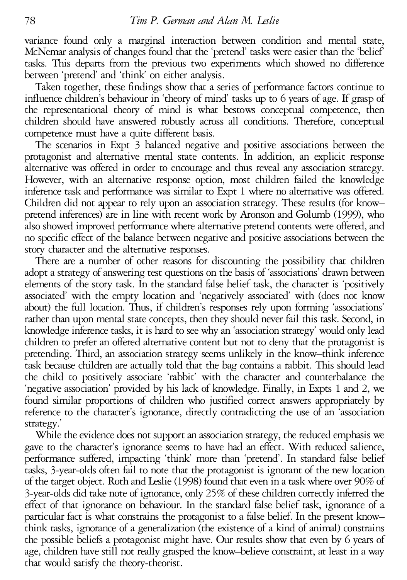variance found only a marginal interaction between condition and mental state, McNemar analysis of changes found that the 'pretend' tasks were easier than the 'belief' tasks. This departs from the previous two experiments between 'pretend' and 'think' on either analysis. Taken together, these findings show that <sup>a</sup> series of performance factors continue to

influence children's behaviour in 'theory of mind' tasks up to 6 years of age. If grasp of the representational theory of mind is what bestows conceptual competence, then children should have answered robustly across all conditions. Therefore, conceptual

The scenarios in Expt  $3$  balanced negative and positive associations between the protagonist and alternative mental state contents. In addition, an explicit response alternative was offered in order to encourage and thus reveal any association strategy. However, with an alternative response option, most children failed the knowledge inference task and performance was similar to Expt <sup>1</sup> where no alternative was offered. Children did not appear to rely upon an association strategy. These results (for know– pretend inferences) are in line with recent work by Aronson and Golumb (1999), who also showed improved performance where alternative pretend contents were offered, and no specific effect of the balance between negative and positive associations between the story character and the alternative responses. There are <sup>a</sup> number of other reasons for discounting the possibility that children

adopt a strategy of answering test questions on the basis of 'associations' drawn between elements of the story task. In the standard false belief task, the character is 'positively associated' with the empty location and 'negatively associated' with (does not know about) the full location. Thus, if children's responses rely upon forming 'associations' rather than upon mental state concepts, then they should never fail this task. Second, in knowledge inference tasks, it is hard to see why an 'association strategy' would only lead children to prefer an offered alternative content but not to deny that the protagonist is pretending. Third, an association strategy seems unlikely in the know–think inference task because children are actually told that the bag contains a rabbit. This should lead the child to positively associate 'rabbit' with the character and counterbalance the 'negative association' provided by his lack of knowledge. Finally, in Expts 1 and 2, we found similar proportions of children who justified correct answers appropriately by reference to the character's ignorance, directly contradicting the use of an 'association strategy.'

While the evidence does not support an association strategy, the reduced emphasis we gave to the character's ignorance seems to have had an effect. With reduced salience, performance suffered, impacting 'think' more than 'pretend'. In standard false belief tasks, 3-year-olds often fail to note that the protagonist is ignorant of the new location of the target object. Roth and Leslie (1998) found that even in a task where over 90% of 3-year-olds did take note of ignorance, only 25% of these children correctly inferred the effect of that ignorance on behaviour. In the standard false belief task, ignorance of a particular fact is what constrains the protagonist to a false belief. In the present know– think tasks, ignorance of a generalization (the existence of a kind of animal) constrains the possible beliefs a protagonist might have. Our results show that even by 6 years of age, children have still not really grasped the know–believe constraint, at least in a way that would satisfy the theory-theorist.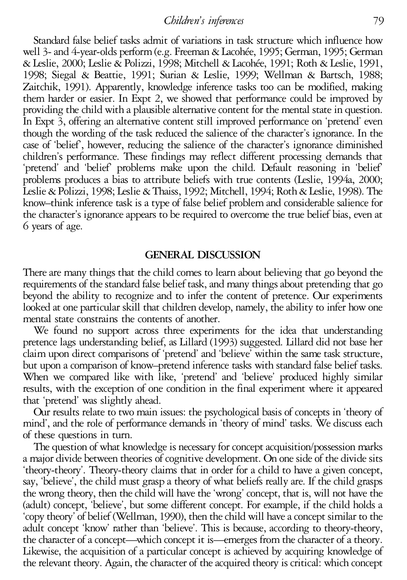*Children's inferences* 79

Standard false belief tasks admit of variations in task structure which influence how well 3- and 4-year-olds perform (e.g. Freeman & Lacohée, 1995; German, 1995; German & Leslie, 2000; Leslie & Polizzi, 1998; Mitchell & Lacohe´e, 1991; Roth & Leslie, 1991, 1998; Siegal & Beattie, 1991; Surian & Leslie, 1999; Wellman & Bartsch, 1988; Zaitchik, 1991). Apparently, knowledge inference tasks too can be modified, making them harder or easier. In Expt 2, we showed that performance could be improved by providing the child with a plausible alternative content for the mental state in question. In Expt 3, offering an alternative content still improved performance on 'pretend' even though the wording of the task reduced the salience of the character's ignorance. In the case of 'belief', however, reducing the salience of the character's ignorance diminished children's performance. These findings may reflect different processing demands that 'pretend' and 'belief' problems make upon the child. Default reasoning in 'belief' problems produces a bias to attribute beliefs with true contents (Leslie, 1994a, 2000; Leslie&Polizzi, 1998; Leslie &Thaiss, 1992; Mitchell, 1994; Roth&Leslie, 1998). The know–think inference task is a type of false belief problem and considerable salience for the character's ignorance appears to be required to overcome the true belief bias, even at 6 years of age.

## **GENERAL DISCUSSION**

There are many things that the child comes to learn about believing that go beyond the requirements of the standard false belief task, and many things about pretending that go beyond the ability to recognize and to infer the content of pretence. Our experiments looked at one particular skill that children develop, namely, the ability to infer how one mental state constrains the contents of another.

We found no support across three experiments for the idea that understanding pretence lags understanding belief, as Lillard (1993) suggested. Lillard did not base her claim upon direct comparisons of 'pretend' and 'believe' within the same task structure, but upon <sup>a</sup> comparison of know–pretend inference tasks with standard false belief tasks. When we compared like with like, 'pretend' and 'believe' produced highly similar results, with the exception of one condition in the final experiment where it appeared

that 'pretend' was slightly ahead. Our results relate to two main issues: the psychological basis of concepts in 'theory of mind', and the role of performance demands in 'theory of mind' tasks. We discuss each of these questions in turn.<br>The question of what knowledge is necessary for concept acquisition/possession marks

a major divide between theories of cognitive development. On one side of the divide sits 'theory-theory'. Theory-theory claims that in order for a child to have a given concept, say, 'believe', the child must grasp a theory of what beliefs really are. If the child grasps the wrong theory, then the child will have the 'wrong' concept, that is, will not have the (adult) concept, 'believe', but some different concept. For example, if the child holds a 'copy theory' of belief (Wellman, 1990), then the child will have a concept similar to the adult concept 'know' rather than 'believe'. This is because, according to theory-theory, the character of a concept—which concept it is—emerges from the character of a theory.<br>Likewise, the acquisition of a particular concept is achieved by acquiring knowledge of the relevant theory. Again, the character of the acquired theory is critical: which concept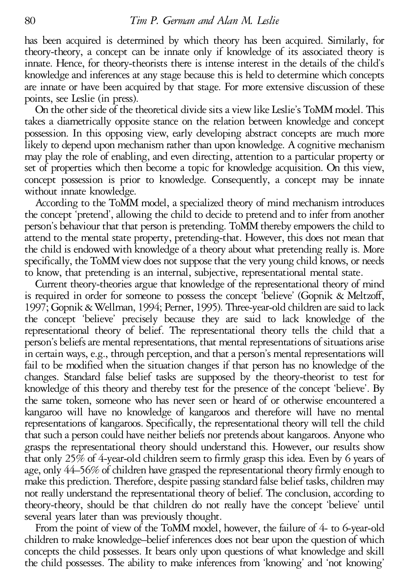has been acquired is determined by which theory has been acquired. Similarly, for theory-theory, a concept can be innate only if knowledge of its associated theory is innate. Hence, for theory-theorists there is intense interest in the details of the child's knowledge and inferences at any stage because this is held to determine which concepts are innate or have been acquired by that stage. For more extensive discussion of these points, see Leslie (in press).<br>On the other side of the theoretical divide sits a view like Leslie's ToMM model. This

takes a diametrically opposite stance on the relation between knowledge and concept possession. In this opposing view, early developing abstract concepts are much more likely to depend upon mechanism rather than upon knowledge. A cognitive mechanism may play the role of enabling, and even directing, attention to a particular property or set of properties which then become <sup>a</sup> topic for knowledge acquisition. On this view, concept possession is prior to knowledge. Consequently, <sup>a</sup> concept may be innate

without innate knowledge.<br>According to the ToMM model, a specialized theory of mind mechanism introduces the concept 'pretend', allowing the child to decide to pretend and to infer from another person's behaviour that that person is pretending. ToMM thereby empowers the child to attend to the mental state property, pretending-that. However, this does not mean that the child is endowed with knowledge of a theory about what pretending really is. More specifically, the ToMM view does not suppose that the very young child knows, or needs to know, that pretending is an internal, subjective, representational mental state. Current theory-theories argue that knowledge of the representational theory of mind

is required in order for someone to possess the concept 'believe' (Gopnik & Meltzoff, 1997; Gopnik&Wellman, 1994; Perner, 1995). Three-year-old children aresaid to lack the concept 'believe' precisely because they are said to lack knowledge of the representational theory of belief. The representational theory tells the child that a person's beliefs are mental representations, that mental representations of situations arise in certain ways, e.g., through perception, and that a person's mental representations will fail to be modified when the situation changes if that person has no knowledge of the changes. Standard false belief tasks are supposed by the theory-theorist to test for knowledge of this theory and thereby test for the presence of the concept 'believe'. By the same token, someone who has never seen or heard of or otherwise encountered a kangaroo will have no knowledge of kangaroos and therefore will have no mental representations of kangaroos. Specifically, the representational theory will tell the child that such a person could have neither beliefs nor pretendsabout kangaroos. Anyone who grasps the representational theory should understand this. However, our results show that only 25% of 4-year-old children seem to firmly grasp this idea. Even by 6 years of age, only 44–56% of children have grasped the representational theory firmly enough to make this prediction. Therefore, despite passing standard false belief tasks, children may not really understand the representational theory of belief. The conclusion, according to theory-theory, should be that children do not really have the concept 'believe' until several years later than was previously thought.

From the point of view of the ToMM model, however, the failure of 4- to 6-year-old children to make knowledge–belief inferences does not bear upon the question of which concepts the child possesses. It bears only upon questions of what knowledge and skill the child possesses. The ability to make inferences from 'knowing' and 'not knowing'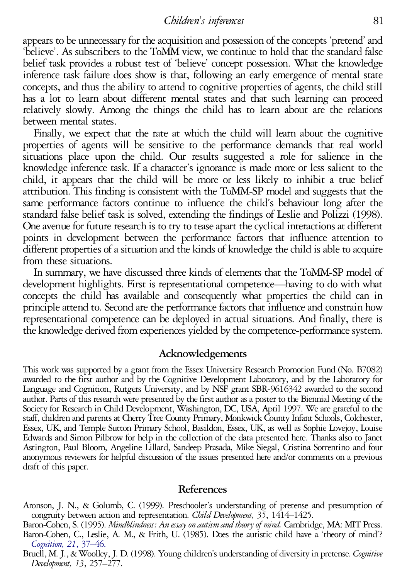*Children's inferences* 81

appears to be unnecessary for the acquisition and possession of the concepts 'pretend' and 'believe'. As subscribers to the ToMM view, we continue to hold that the standard false belief task provides a robust test of 'believe' concept possession. What the knowledge inference task failure does show is that, following an early emergence of mental state concepts, and thus the ability to attend to cognitive properties of agents, the child still has a lot to learn about different mental states and that such learning can proceed relatively slowly. Among the things the child has to learn about are the relations between mental states.<br>Finally, we expect that the rate at which the child will learn about the cognitive

properties of agents will be sensitive to the performance demands that real world situations place upon the child. Our results suggested a role for salience in the knowledge inference task. If a character's ignorance is made more or less salient to the child, it appears that the child will be more or less likely to inhibit a true belief attribution. This finding is consistent with the ToMM-SP model and suggests that the same performance factors continue to influence the child's behaviour long after the standard false belief task is solved, extending the findings of Leslie and Polizzi (1998). One avenue for future research is to try to tease apart the cyclical interactions at different points in development between the performance factors that influence attention to different properties of a situation and the kinds of knowledge the child is able to acquire from these situations.

In summary, we have discussed three kinds of elements that the ToMM-SP model of development highlights. First is representational competence—having to do with what concepts the child has available and consequently what properties the child can in principle attend to. Second are the performance factors that influence and constrain how representational competence can be deployed in actual situations. And finally, there is the knowledge derived from experiences yielded by the competence-performance system.

#### **Acknowledgements**

This work was supported by a grant from the Essex University Research Promotion Fund (No. B7082) awarded to the first author and by the Cognitive Development Laboratory, and by the Laboratory for Language and Cognition, Ru author. Parts of this research were presented by the first author as a poster to the Biennial Meeting of the<br>Society for Research in Child Development, Washington, DC, USA, April 1997. We are grateful to the staff, children and parents at Cherry Tree County Primary, Monkwick County Infant Schools, Colchester,<br>Essex, UK, and Temple Sutton Primary School, Basildon, Essex, UK, as well as Sophie Lovejoy, Louise<br>Edwards and Simon P Astington, Paul Bloom, Angeline Lillard, Sandeep Prasada, Mike Siegal, Cristina Sorrentino and four anonymous reviewers for helpful discussion of the issues presented here and/or comments on <sup>a</sup> previous draft of this paper.

## **References**

Aronson, J. N., & Golumb, C. (1999). Preschooler's understanding of pretense and presumption of congruity between action and representation. *Child Development*, 35, 1414–1425.<br>Baron-Cohen, S. (1995). *Mindblindness: An es* 

*[Cognition,](http://rosina.catchword.com/nw=1/rpsv/0010-0277^28^2921L.37[nlm=2934210]) <sup>21</sup>*, 37–46. Bruell, M.J., &Woolley,J. D. (1998). Young children's understanding of diversity in pretense. *Cognitive Development, <sup>13</sup>*, 257–277.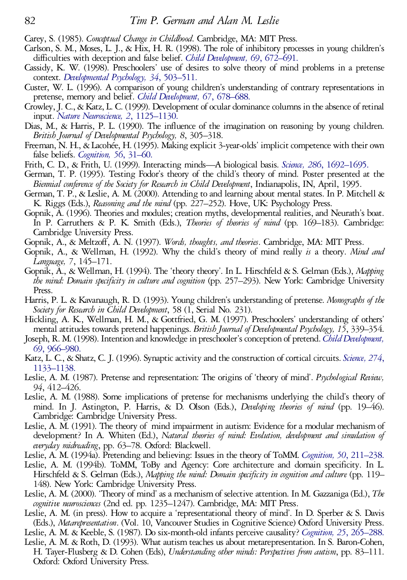- Carey, S. (1985). *Conceptual Change in Childhood*. Cambridge, MA: MIT Press.<br>Carlson, S. M., Moses, L. J., & Hix, H. R. (1998). The role of inhibitory processes in young children's<br>difficulties with deception and false be
- context. *[Developmental](http://rosina.catchword.com/nw=1/rpsv/0012-1649^28^2934L.503[aid=1151895,nlm=9597360]) Psychology, 34*, 503–511.
- Custer, W. L. (1996). A comparison of young children's understanding of contrary representations in
- pretense, memory and belief. *Child Development*, 67, 678–688.<br>Crowley, J. C., & Katz, L. C. (1999). Development of ocular dominance columns in the absence of retinal input. *Nature Neuroscience*, 2, 1125–1130.
- Dias, M., & Harris, P. L. (1990). The influence of the imagination on reasoning by young children.<br>British Journal of Developmental Psychology, 8, 305–318.
- Freeman, N. H., & Lacohée, H. (1995). Making explicit 3-year-olds' implicit competence with their own false beliefs. *[Cognition,](http://rosina.catchword.com/nw=1/rpsv/0010-0277^28^2956L.31[aid=17604,nlm=7634764]) 56*, 31–60.
- 
- Frith, C. D., & Frith, U. (1999). Interacting minds—A biological basis. *Science*, 286, [1692–1695.](http://rosina.catchword.com/nw=1/rpsv/0036-8075^28^29286L.1692[aid=1151897,nlm=10576727])<br>German, T. P. (1995). Testing Fodor's theory of the child's theory of mind. Poster presented at the<br>*Biennial conference of*
- 
- K. Riggs (Eds.), *Reasoning and the mind* (pp. 227–252). Hove, UK: Psychology Press.<br>Gopnik, A. (1996). Theories and modules; creation myths, developmental realities, and Neurath's boat.<br>In P. Carruthers & P. K. Smith (Eds
- 
- *Language, <sup>7</sup>*, 145–171. Gopnik, A., & Wellman, H. (1994). The 'theory theory'. In L. Hirschfeld & S. Gelman (Eds.), *Mapping*
- *the mind: Domain specificity in culture and cognition* (pp. 257–293). New York: Cambridge University
- Press.<br>Harris, P. L. & Kavanaugh, R. D. (1993). Young children's understanding of pretense. *Monographs of the*<br>Society for Research in Child Development, 58 (1, Serial No. 231).<br>Hickling, A. K., Wellman, H. M., & Gottfrie
- 
- 
- 
- 
- Hickling, A. K., Wellman, H. M., & Gottfried, G. M. (1997). Preschoolers' understanding of others'<br>mental attitudes towards pretend happenings. *British Journal of Developmental Psychology*, 15, 339–354.<br>Joseph, R. M. (199 Cambridge: Cambridge University Press. Leslie, A. M. (1991). The theory of mind impairment in autism: Evidence for <sup>a</sup> modular mechanismof
- development? In A. Whiten (Ed.), *Natural theories of mind: Evolution, development and simulation of*
- 
- everyday midreading, pp. 63–78. Oxford: Blackwell.<br>
Leslie, A. M. (1994a). Pretending and believing: Issues in the theory of ToMM. Cognition, 50, [211–238.](http://rosina.catchword.com/nw=1/rpsv/0010-0277^28^2950L.211[nlm=8039362])<br>
Leslie, A. M. (1994b). ToMM, ToBy and Agency: Core architecture an 148). New York: Cambridge University Press. Leslie, A. M. (2000). 'Theory of mind' as <sup>a</sup> mechanismof selective attention. In M. Gazzaniga(Ed.), *The*
- *cognitive neurosciences* (2nd ed. pp. 1235–1247). Cambridge, MA: MIT Press. Leslie, A. M. (in press). How to acquire <sup>a</sup> 'representational theory of mind'. In D. Sperber & S. Davis
- 
- 
- (Eds.), *Metarepresentation*. (Vol. 10, Vancouver Studies in Cognitive Science) Oxford University Press.<br>Leslie, A. M. & Keeble, S. (1987). Do six-month-old infants perceive causality? Cognition, 25, [265–288.](http://rosina.catchword.com/nw=1/rpsv/0010-0277^28^2925L.265[nlm=3581732])<br>Leslie, A. M.